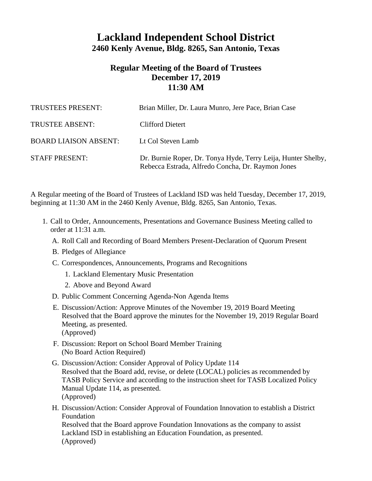## **Lackland Independent School District 2460 Kenly Avenue, Bldg. 8265, San Antonio, Texas**

## **Regular Meeting of the Board of Trustees December 17, 2019 11:30 AM**

| TRUSTEES PRESENT:            | Brian Miller, Dr. Laura Munro, Jere Pace, Brian Case                                                               |
|------------------------------|--------------------------------------------------------------------------------------------------------------------|
| <b>TRUSTEE ABSENT:</b>       | Clifford Dietert                                                                                                   |
| <b>BOARD LIAISON ABSENT:</b> | Lt Col Steven Lamb                                                                                                 |
| <b>STAFF PRESENT:</b>        | Dr. Burnie Roper, Dr. Tonya Hyde, Terry Leija, Hunter Shelby,<br>Rebecca Estrada, Alfredo Concha, Dr. Raymon Jones |

A Regular meeting of the Board of Trustees of Lackland ISD was held Tuesday, December 17, 2019, beginning at 11:30 AM in the 2460 Kenly Avenue, Bldg. 8265, San Antonio, Texas.

- 1. Call to Order, Announcements, Presentations and Governance Business Meeting called to order at 11:31 a.m.
	- A. Roll Call and Recording of Board Members Present-Declaration of Quorum Present
	- B. Pledges of Allegiance
	- C. Correspondences, Announcements, Programs and Recognitions
		- 1. Lackland Elementary Music Presentation
		- 2. Above and Beyond Award
	- D. Public Comment Concerning Agenda-Non Agenda Items
	- E. Discussion/Action: Approve Minutes of the November 19, 2019 Board Meeting Resolved that the Board approve the minutes for the November 19, 2019 Regular Board Meeting, as presented. (Approved)
	- F. Discussion: Report on School Board Member Training (No Board Action Required)
	- G. Discussion/Action: Consider Approval of Policy Update 114 Resolved that the Board add, revise, or delete (LOCAL) policies as recommended by TASB Policy Service and according to the instruction sheet for TASB Localized Policy Manual Update 114, as presented. (Approved)
	- H. Discussion/Action: Consider Approval of Foundation Innovation to establish a District Foundation Resolved that the Board approve Foundation Innovations as the company to assist Lackland ISD in establishing an Education Foundation, as presented. (Approved)